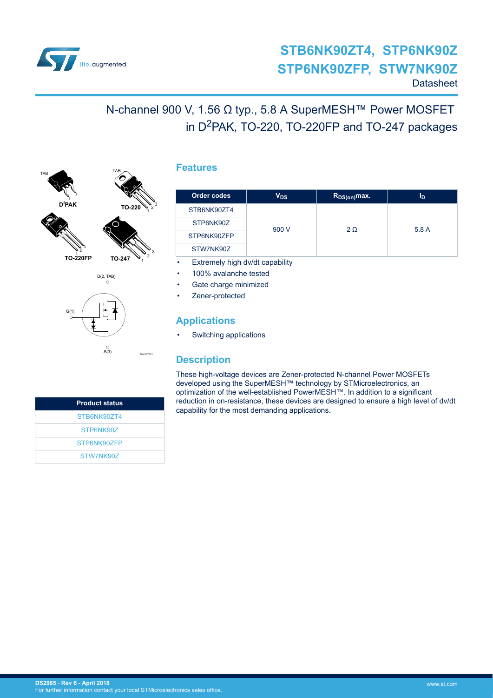

# N-channel 900 V, 1.56 Ω typ., 5.8 A SuperMESH™ Power MOSFET in D<sup>2</sup>PAK, TO-220, TO-220FP and TO-247 packages



2 3

G(1)



TAB

1 2 3

AM01475V1

1 2 3

### **Features**

| Order codes | V <sub>DS</sub> | $R_{DS(on)}$ max. | ΙD    |
|-------------|-----------------|-------------------|-------|
| STB6NK90ZT4 |                 |                   |       |
| STP6NK90Z   | 900 V           | $2\Omega$         | 5.8 A |
| STP6NK90ZFP |                 |                   |       |
| STW7NK90Z   |                 |                   |       |

- Extremely high dv/dt capability
- 100% avalanche tested
- Gate charge minimized
- Zener-protected

## **Applications**

Switching applications

## **Description**

These high-voltage devices are Zener-protected N-channel Power MOSFETs developed using the SuperMESH™ technology by STMicroelectronics, an optimization of the well-established PowerMESH™. In addition to a significant reduction in on-resistance, these devices are designed to ensure a high level of dv/dt capability for the most demanding applications.

| <b>Product status</b> |
|-----------------------|
| STB6NK907T4           |
| STP6NK90Z             |
| STP6NK907FP           |
| STW7NK907             |

S(3)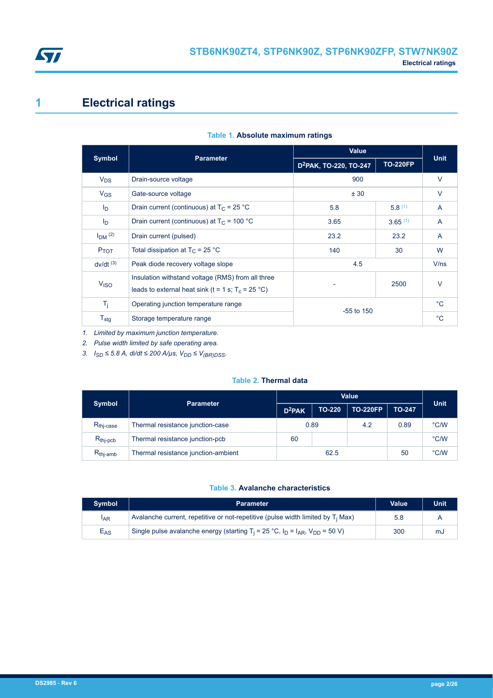<span id="page-1-0"></span>

# **1 Electrical ratings**

| Symbol                 | <b>Parameter</b>                                                                                                  | Value                              | <b>Unit</b>     |              |
|------------------------|-------------------------------------------------------------------------------------------------------------------|------------------------------------|-----------------|--------------|
|                        |                                                                                                                   | D <sup>2</sup> PAK, TO-220, TO-247 | <b>TO-220FP</b> |              |
| $V_{DS}$               | Drain-source voltage                                                                                              | 900                                |                 | $\vee$       |
| $V_{GS}$               | ± 30<br>Gate-source voltage                                                                                       |                                    |                 | $\vee$       |
| $I_{\text{D}}$         | Drain current (continuous) at $T_C = 25 °C$                                                                       | 5.8                                | 5.8(1)          | $\mathsf{A}$ |
| $I_{\text{D}}$         | Drain current (continuous) at $T_c$ = 100 °C                                                                      | 3.65                               | 3.65(1)         | A            |
| $IDM$ (2)              | Drain current (pulsed)                                                                                            | 23.2                               | 23.2            | A            |
| P <sub>TOT</sub>       | Total dissipation at $T_C = 25 °C$                                                                                | 140                                | 30              | W            |
| $dv/dt$ <sup>(3)</sup> | Peak diode recovery voltage slope                                                                                 | 4.5                                |                 | V/ns         |
| V <sub>ISO</sub>       | Insulation withstand voltage (RMS) from all three<br>leads to external heat sink (t = 1 s; $T_c = 25 \degree C$ ) |                                    | 2500            | $\vee$       |
| $T_j$                  | Operating junction temperature range                                                                              |                                    |                 |              |
| $T_{\text{stg}}$       | Storage temperature range                                                                                         | $-55$ to 150                       |                 | $^{\circ}C$  |

### **Table 1. Absolute maximum ratings**

*1. Limited by maximum junction temperature.*

*2. Pulse width limited by safe operating area.*

*3. I*<sub>SD</sub> ≤ 5.8 A, di/dt ≤ 200 A/µs,  $V_{DD}$  ≤  $V_{(BR)DSS}$ .

### **Table 2. Thermal data**

| <b>Symbol</b>         | <b>Parameter</b>                    | <b>Value</b>       |               |                 |               | <b>Unit</b> |
|-----------------------|-------------------------------------|--------------------|---------------|-----------------|---------------|-------------|
|                       |                                     | D <sup>2</sup> PAK | <b>TO-220</b> | <b>TO-220FP</b> | <b>TO-247</b> |             |
| $R_{\text{thi-case}}$ | Thermal resistance junction-case    | 0.89               |               | 4.2             | 0.89          | °C/W        |
| $R_{\text{thj-pcb}}$  | Thermal resistance junction-pcb     | 60                 |               |                 |               | °C/W        |
| $R_{thi-amb}$         | Thermal resistance junction-ambient | 62.5               |               |                 | 50            | °C/W        |

### **Table 3. Avalanche characteristics**

| <b>Symbol</b> | <b>Parameter</b>                                                                                                           | <b>Value</b> | Unit |
|---------------|----------------------------------------------------------------------------------------------------------------------------|--------------|------|
| IAR           | Avalanche current, repetitive or not-repetitive (pulse width limited by $T_i$ Max)                                         | 5.8          |      |
| $E_{AS}$      | Single pulse avalanche energy (starting T <sub>i</sub> = 25 °C, I <sub>D</sub> = I <sub>AR</sub> , V <sub>DD</sub> = 50 V) | 300          | mJ   |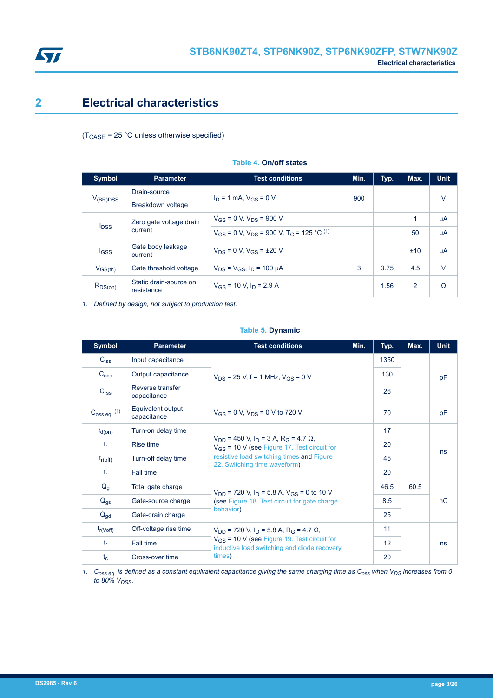<span id="page-2-0"></span>

# **2 Electrical characteristics**

 $(T_{\text{CASE}} = 25 \text{ °C}$  unless otherwise specified)

| <b>Symbol</b> | <b>Parameter</b>                     | <b>Test conditions</b>                                                   | Min. | Typ. | Max.         | <b>Unit</b> |
|---------------|--------------------------------------|--------------------------------------------------------------------------|------|------|--------------|-------------|
|               | Drain-source                         | $I_D = 1$ mA, $V_{GS} = 0$ V                                             | 900  |      |              | $\vee$      |
| $V_{(BR)DSS}$ | Breakdown voltage                    |                                                                          |      |      |              |             |
|               | Zero gate voltage drain              | $V_{GS}$ = 0 V, $V_{DS}$ = 900 V                                         |      |      | $\mathbf{1}$ | μA          |
| $I_{DSS}$     | current                              | $V_{GS}$ = 0 V, $V_{DS}$ = 900 V, T <sub>C</sub> = 125 °C <sup>(1)</sup> |      |      | 50           | μA          |
| $I_{GSS}$     | Gate body leakage<br>current         | $V_{DS} = 0$ V, $V_{GS} = \pm 20$ V                                      |      |      | ±10          | μA          |
| $V_{GS(th)}$  | Gate threshold voltage               | $V_{DS} = V_{GS}$ , $I_D = 100 \mu A$                                    | 3    | 3.75 | 4.5          | $\vee$      |
| $R_{DS(on)}$  | Static drain-source on<br>resistance | $V_{GS}$ = 10 V, $I_D$ = 2.9 A                                           |      | 1.56 | 2            | Ω           |

#### **Table 4. On/off states**

*1. Defined by design, not subject to production test.*

#### **Table 5. Dynamic**

| <b>Symbol</b>            | <b>Parameter</b>                 | <b>Test conditions</b>                                                                                                      | Min. | Typ. | Max. | <b>Unit</b> |
|--------------------------|----------------------------------|-----------------------------------------------------------------------------------------------------------------------------|------|------|------|-------------|
| $C_{iss}$                | Input capacitance                |                                                                                                                             |      | 1350 |      |             |
| C <sub>oss</sub>         | Output capacitance               | $V_{DS}$ = 25 V, f = 1 MHz, $V_{GS}$ = 0 V                                                                                  |      | 130  |      | pF          |
| C <sub>rss</sub>         | Reverse transfer<br>capacitance  |                                                                                                                             |      | 26   |      |             |
| $C_{\text{OSS eq.}}$ (1) | Equivalent output<br>capacitance | $V_{GS}$ = 0 V, $V_{DS}$ = 0 V to 720 V                                                                                     |      | 70   |      | pF          |
| $t_{d(on)}$              | Turn-on delay time               |                                                                                                                             |      | 17   |      |             |
| $t_{r}$                  | Rise time                        | $V_{DD}$ = 450 V, I <sub>D</sub> = 3 A, R <sub>G</sub> = 4.7 $\Omega$ ,<br>$V_{GS}$ = 10 V (see Figure 17. Test circuit for |      | 20   |      | ns          |
| $t_{r(off)}$             | Turn-off delay time              | resistive load switching times and Figure<br>22. Switching time waveform)                                                   |      | 45   |      |             |
| $t_{r}$                  | Fall time                        |                                                                                                                             |      | 20   |      |             |
| $Q_g$                    | Total gate charge                | $V_{DD}$ = 720 V, I <sub>D</sub> = 5.8 A, V <sub>GS</sub> = 0 to 10 V                                                       |      | 46.5 | 60.5 |             |
| $Q_{gs}$                 | Gate-source charge               | (see Figure 18. Test circuit for gate charge                                                                                |      | 8.5  |      | nC          |
| $Q_{\text{gd}}$          | Gate-drain charge                | behavior)                                                                                                                   |      | 25   |      |             |
| $t_{r(Voff)}$            | Off-voltage rise time            | $V_{DD}$ = 720 V, $I_D$ = 5.8 A, R <sub>G</sub> = 4.7 $\Omega$ ,                                                            |      | 11   |      |             |
| $t_{r}$                  | Fall time                        | $V_{GS}$ = 10 V (see Figure 19. Test circuit for<br>inductive load switching and diode recovery                             |      | 12   |      | ns          |
| $t_c$                    | Cross-over time                  | times)                                                                                                                      |      | 20   |      |             |

*1. Coss eq. is defined as a constant equivalent capacitance giving the same charging time as Coss when VDS increases from 0 to 80% VDSS.*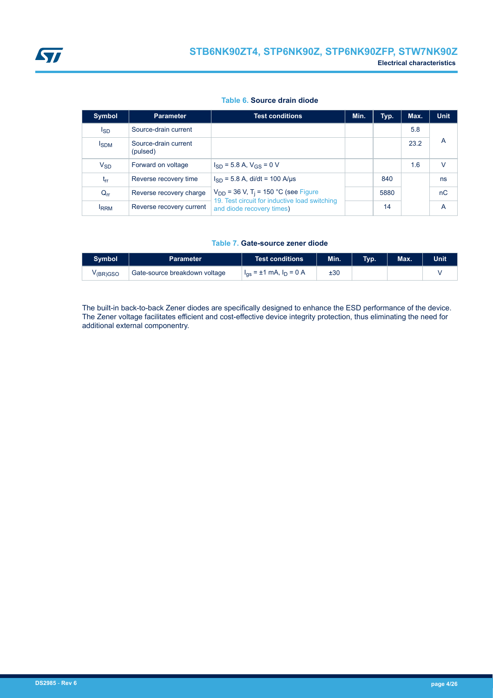<span id="page-3-0"></span>

#### **Table 6. Source drain diode**

| Symbol       | <b>Parameter</b>                 | <b>Test conditions</b>                                                     | Min. | Typ. | Max. | <b>Unit</b>    |
|--------------|----------------------------------|----------------------------------------------------------------------------|------|------|------|----------------|
| Isp          | Source-drain current             |                                                                            |      |      | 5.8  |                |
| <b>I</b> SDM | Source-drain current<br>(pulsed) |                                                                            |      |      | 23.2 | $\overline{A}$ |
| $V_{SD}$     | Forward on voltage               | $I_{SD}$ = 5.8 A, $V_{GS}$ = 0 V                                           |      |      | 1.6  | V              |
| $t_{rr}$     | Reverse recovery time            | $I_{SD}$ = 5.8 A, di/dt = 100 A/µs                                         |      | 840  |      | ns             |
| $Q_{rr}$     | Reverse recovery charge          | $V_{DD}$ = 36 V, T <sub>i</sub> = 150 °C (see Figure                       |      | 5880 |      | nC             |
| <b>IRRM</b>  | Reverse recovery current         | 19. Test circuit for inductive load switching<br>and diode recovery times) |      | 14   |      | A              |

#### **Table 7. Gate-source zener diode**

| <b>Symbol</b>         | <b>Parameter</b>              | Test conditions                  | Min. | Tvp. | Max. | <b>Unit</b> |
|-----------------------|-------------------------------|----------------------------------|------|------|------|-------------|
| V <sub>(BR)</sub> GSO | Gate-source breakdown voltage | $I_{gs} = \pm 1$ mA, $I_D = 0$ A | ±30  |      |      |             |

The built-in back-to-back Zener diodes are specifically designed to enhance the ESD performance of the device. The Zener voltage facilitates efficient and cost-effective device integrity protection, thus eliminating the need for additional external componentry.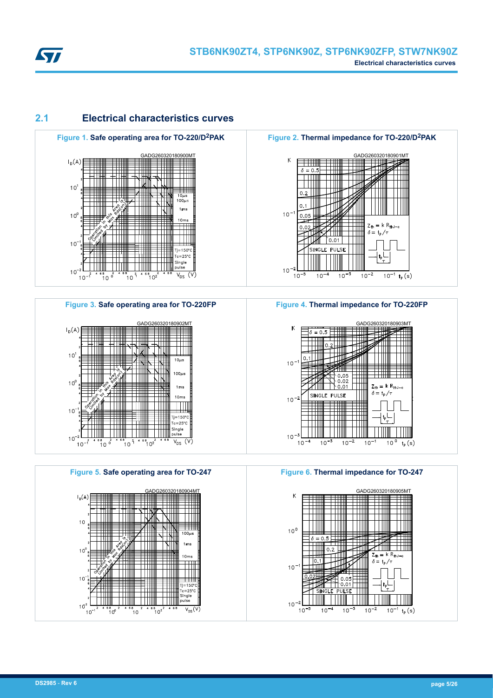<span id="page-4-0"></span>

## **2.1 Electrical characteristics curves**



## **Figure 3. Safe operating area for TO-220FP** GADG260320180902MT  $\vdash$ <sub>D</sub>(A)



**Figure 5. Safe operating area for TO-247** GADG260320180904MT  $I_0(A)$  $\pm 111$  $10$  $\frac{1}{100\mu s}$ THILL NIL  $1<sub>ms</sub>$  $10$  $10<sub>rr</sub>$  $\overline{\mathbf{H}}$ ┯┿╫ TTTT l III  $\Box$  $10<sup>1</sup>$ Tj=150°<br>Tc=25°C<br>Single<br>pulse  $\begin{array}{c|c|c|c|c|c|c|c} \hline \rule{0pt}{2ex} & 1 & 0 & 0 & 0 \\ \hline \rule{0pt}{2ex} & 2 & 4 & 6 & 6 & 2 \\ \hline \rule{0pt}{2ex} & 2 & 4 & 6 & 6 & 2 \\ \hline \rule{0pt}{2ex} & 2 & 4 & 6 & 6 & 2 \\ \hline \rule{0pt}{2ex} & 2 & 4 & 6 & 6 & 2 \\ \hline \rule{0pt}{2ex} & 2 & 4 & 6 & 6 & 2 \\ \hline \rule{0pt}{2ex} & 2 & 4 & 6 & 6 & 2 \\ \hline \rule{$ <u> HIIII</u>  $10<sup>2</sup>$  $4.68$   $10^{2}$  $V_{DS}(V)$  $10^{-1}$  $^{68}_{10^0}$  $10^{2}$ 

**Figure 2. Thermal impedance for TO-220/D2PAK** GADG260320180901MT  $\mathsf K$  $\overline{1}$  $\delta = 0.5$  $0.2$  $0.1$  $10^{-1}$ 0.05  $=$  k R<sub>thJ-d</sub>



 $0.02$ 

#### **Figure 4. Thermal impedance for TO-220FP**



**Figure 6. Thermal impedance for TO-247**

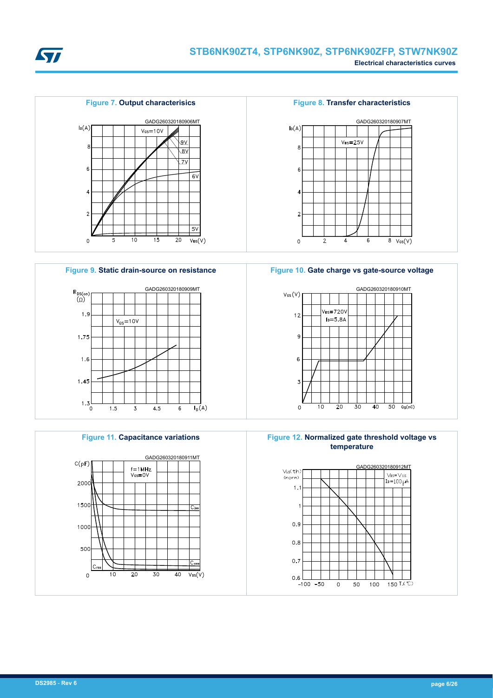







**Figure 11. Capacitance variations**











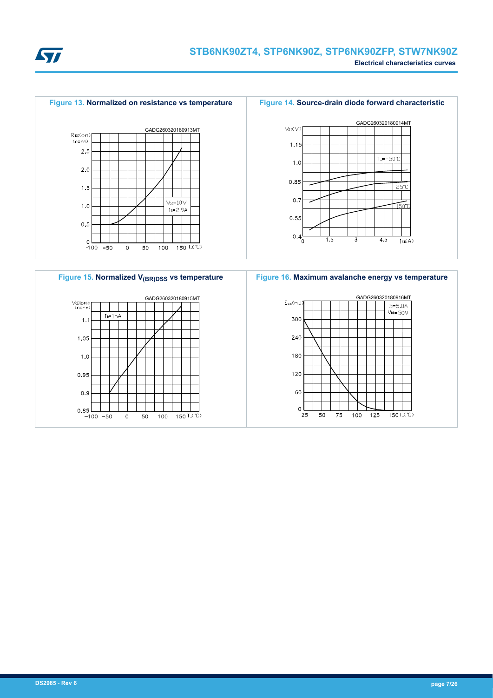







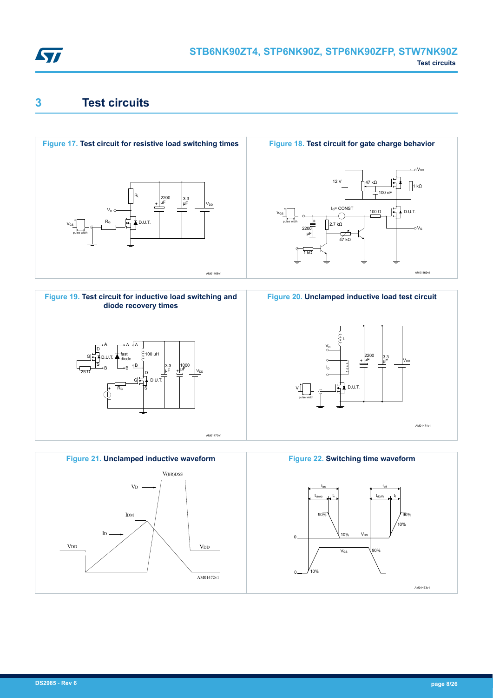<span id="page-7-0"></span>

# **3 Test circuits**











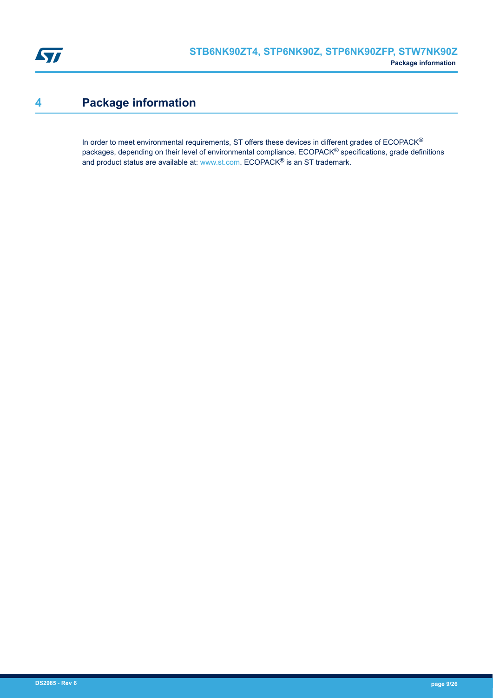<span id="page-8-0"></span>

# **4 Package information**

In order to meet environmental requirements, ST offers these devices in different grades of ECOPACK® packages, depending on their level of environmental compliance. ECOPACK® specifications, grade definitions and product status are available at: [www.st.com.](http://www.st.com) ECOPACK® is an ST trademark.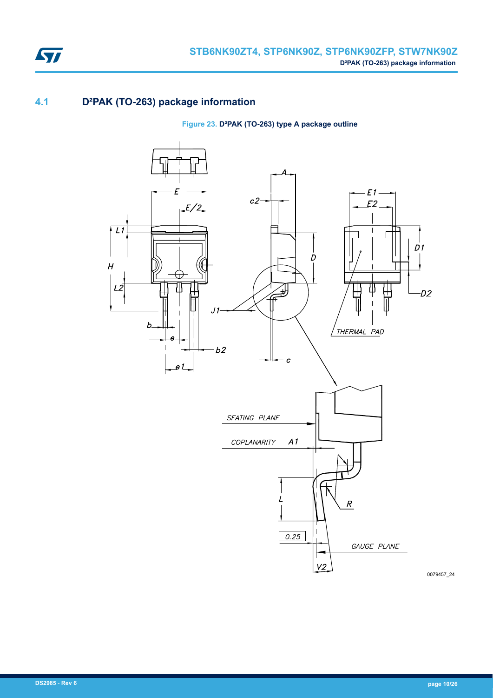

# **4.1 D²PAK (TO-263) package information**

**Figure 23. D²PAK (TO-263) type A package outline**



0079457\_24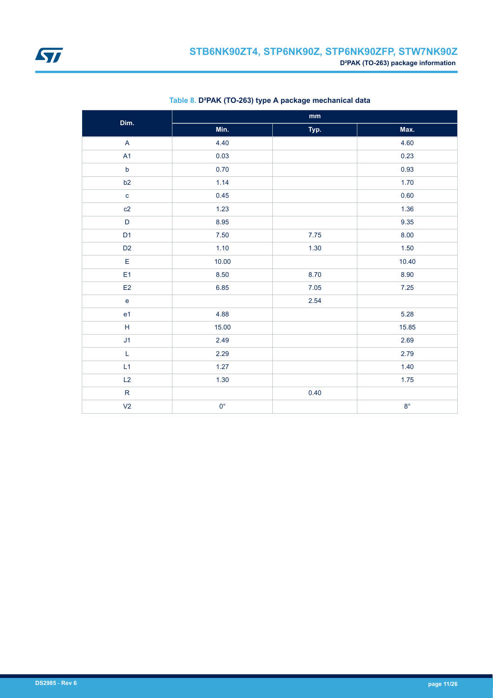

| Dim.                    | mm          |      |             |  |  |
|-------------------------|-------------|------|-------------|--|--|
|                         | Min.        | Typ. | Max.        |  |  |
| $\overline{\mathsf{A}}$ | 4.40        |      | 4.60        |  |  |
| A1                      | 0.03        |      | 0.23        |  |  |
| $\mathsf b$             | 0.70        |      | 0.93        |  |  |
| b2                      | 1.14        |      | 1.70        |  |  |
| $\mathbf{c}$            | 0.45        |      | 0.60        |  |  |
| c2                      | 1.23        |      | 1.36        |  |  |
| $\mathsf D$             | 8.95        |      | 9.35        |  |  |
| D <sub>1</sub>          | $7.50\,$    | 7.75 | 8.00        |  |  |
| D <sub>2</sub>          | 1.10        | 1.30 | 1.50        |  |  |
| $\mathsf E$             | 10.00       |      | 10.40       |  |  |
| E <sub>1</sub>          | 8.50        | 8.70 | 8.90        |  |  |
| E <sub>2</sub>          | 6.85        | 7.05 | 7.25        |  |  |
| $\mathbf e$             |             | 2.54 |             |  |  |
| e <sub>1</sub>          | 4.88        |      | 5.28        |  |  |
| $\mathsf H$             | 15.00       |      | 15.85       |  |  |
| J1                      | 2.49        |      | 2.69        |  |  |
| $\mathsf L$             | 2.29        |      | 2.79        |  |  |
| L1                      | 1.27        |      | 1.40        |  |  |
| L2                      | 1.30        |      | 1.75        |  |  |
| ${\sf R}$               |             | 0.40 |             |  |  |
| V <sub>2</sub>          | $0^{\circ}$ |      | $8^{\circ}$ |  |  |

### **Table 8. D²PAK (TO-263) type A package mechanical data**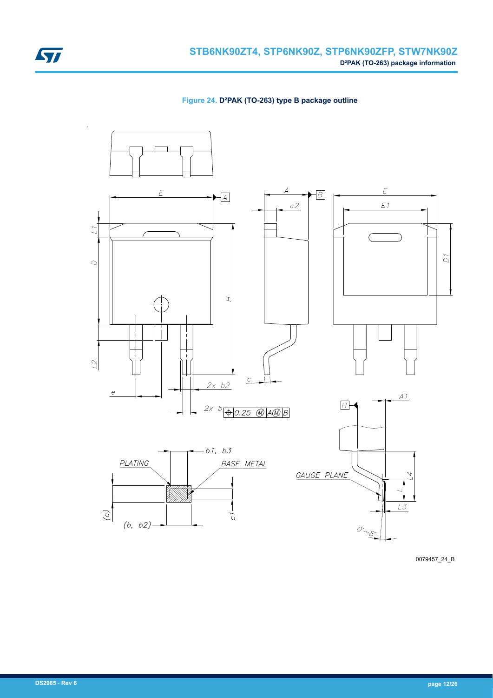

**Figure 24. D²PAK (TO-263) type B package outline**



0079457\_24\_B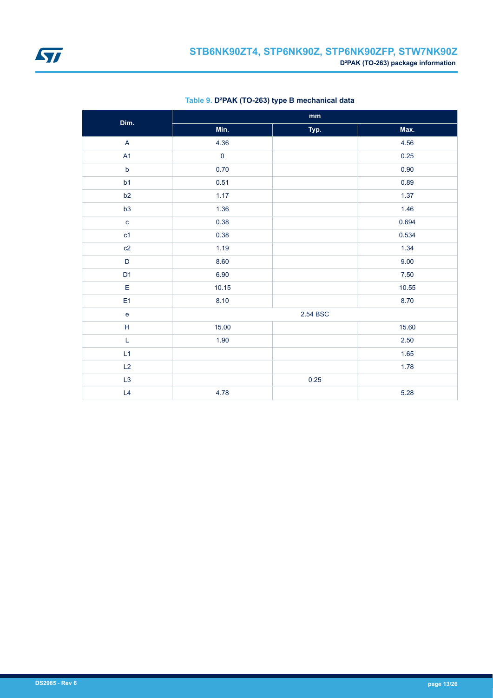

| Dim.                              | $\mathop{\text{mm}}\nolimits$ |          |          |  |  |
|-----------------------------------|-------------------------------|----------|----------|--|--|
|                                   | Min.                          | Typ.     | Max.     |  |  |
| A                                 | 4.36                          |          | 4.56     |  |  |
| A1                                | $\pmb{0}$                     |          | 0.25     |  |  |
| $\mathsf b$                       | 0.70                          |          | 0.90     |  |  |
| b1                                | 0.51                          |          | 0.89     |  |  |
| b2                                | 1.17                          |          | 1.37     |  |  |
| b3                                | 1.36                          |          | 1.46     |  |  |
| $\mathbf c$                       | 0.38                          |          | 0.694    |  |  |
| c <sub>1</sub>                    | 0.38                          |          | 0.534    |  |  |
| c2                                | 1.19                          |          | 1.34     |  |  |
| $\mathsf D$                       | 8.60                          |          | 9.00     |  |  |
| D <sub>1</sub>                    | 6.90                          |          | $7.50\,$ |  |  |
| $\mathsf E$                       | 10.15                         |          | 10.55    |  |  |
| E <sub>1</sub>                    | 8.10                          |          | 8.70     |  |  |
| $\mathsf{e}% _{t}\left( t\right)$ |                               | 2.54 BSC |          |  |  |
| $\overline{H}$                    | 15.00                         |          | 15.60    |  |  |
| L                                 | 1.90                          |          | 2.50     |  |  |
| L1                                |                               |          | 1.65     |  |  |
| L2                                |                               |          | 1.78     |  |  |
| L3                                |                               | 0.25     |          |  |  |
| L4                                | 4.78                          |          | 5.28     |  |  |

### **Table 9. D²PAK (TO-263) type B mechanical data**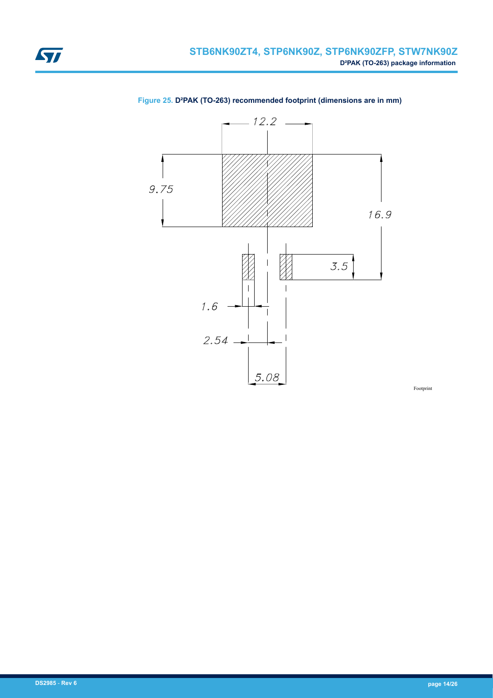<span id="page-13-0"></span>



**Figure 25. D²PAK (TO-263) recommended footprint (dimensions are in mm)**

Footprint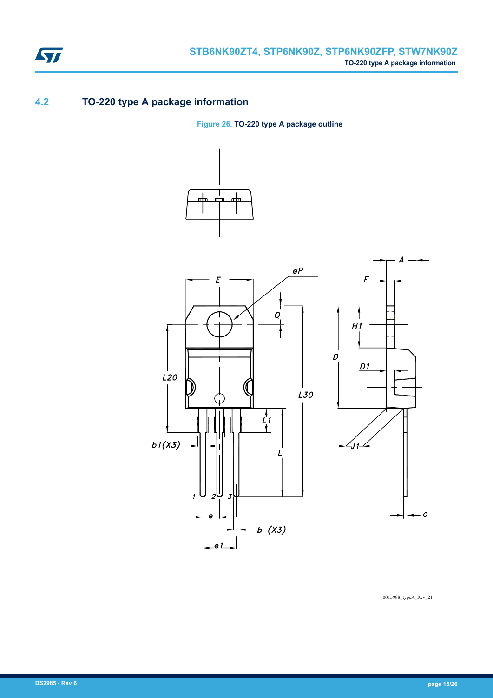

# **4.2 TO-220 type A package information**

**Figure 26. TO-220 type A package outline**





0015988\_typeA\_Rev\_21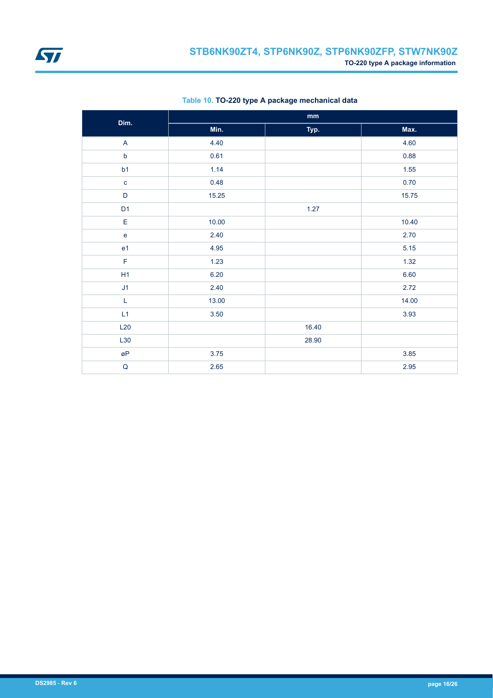<span id="page-15-0"></span>

| Dim.                      | $\mathbf{mm}$ |       |       |  |  |
|---------------------------|---------------|-------|-------|--|--|
|                           | Min.          | Typ.  | Max.  |  |  |
| $\boldsymbol{\mathsf{A}}$ | 4.40          |       | 4.60  |  |  |
| $\mathsf b$               | 0.61          |       | 0.88  |  |  |
| b1                        | 1.14          |       | 1.55  |  |  |
| $\mathbf c$               | 0.48          |       | 0.70  |  |  |
| D                         | 15.25         |       | 15.75 |  |  |
| D <sub>1</sub>            |               | 1.27  |       |  |  |
| E                         | 10.00         |       | 10.40 |  |  |
| $\mathbf e$               | 2.40          |       | 2.70  |  |  |
| e <sub>1</sub>            | 4.95          |       | 5.15  |  |  |
| $\mathsf F$               | 1.23          |       | 1.32  |  |  |
| H1                        | 6.20          |       | 6.60  |  |  |
| J1                        | 2.40          |       | 2.72  |  |  |
| L                         | 13.00         |       | 14.00 |  |  |
| L1                        | 3.50          |       | 3.93  |  |  |
| L20                       |               | 16.40 |       |  |  |
| L30                       |               | 28.90 |       |  |  |
| øΡ                        | $3.75$        |       | 3.85  |  |  |
| ${\sf Q}$                 | 2.65          |       | 2.95  |  |  |

**Table 10. TO-220 type A package mechanical data**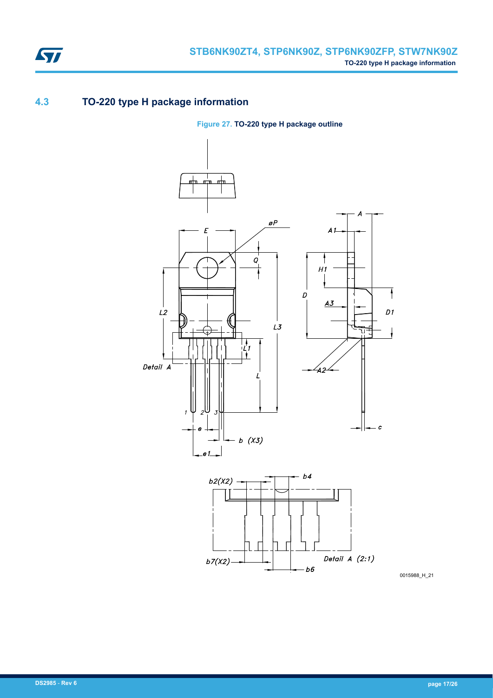

# **4.3 TO-220 type H package information**

**Figure 27. TO-220 type H package outline**



0015988\_H\_21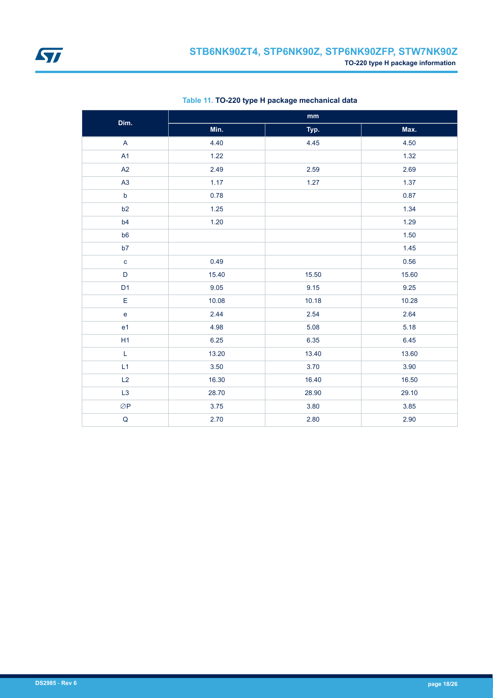<span id="page-17-0"></span>

| Dim.           | $\mathop{\text{mm}}\nolimits$ |       |       |  |
|----------------|-------------------------------|-------|-------|--|
|                | Min.                          | Typ.  | Max.  |  |
| $\overline{A}$ | 4.40                          | 4.45  | 4.50  |  |
| A1             | 1.22                          |       | 1.32  |  |
| A2             | 2.49                          | 2.59  | 2.69  |  |
| A3             | 1.17                          | 1.27  | 1.37  |  |
| $\mathsf b$    | 0.78                          |       | 0.87  |  |
| b2             | 1.25                          |       | 1.34  |  |
| b4             | 1.20                          |       | 1.29  |  |
| b <sub>6</sub> |                               |       | 1.50  |  |
| b7             |                               |       | 1.45  |  |
| $\mathbf{C}$   | 0.49                          |       | 0.56  |  |
| $\mathsf D$    | 15.40                         | 15.50 | 15.60 |  |
| D <sub>1</sub> | 9.05                          | 9.15  | 9.25  |  |
| $\mathsf E$    | 10.08                         | 10.18 | 10.28 |  |
| e              | 2.44                          | 2.54  | 2.64  |  |
| e <sub>1</sub> | 4.98                          | 5.08  | 5.18  |  |
| H1             | 6.25                          | 6.35  | 6.45  |  |
| L              | 13.20                         | 13.40 | 13.60 |  |
| L1             | 3.50                          | 3.70  | 3.90  |  |
| L2             | 16.30                         | 16.40 | 16.50 |  |
| L3             | 28.70                         | 28.90 | 29.10 |  |
| $\oslash$ P    | 3.75                          | 3.80  | 3.85  |  |
| $\mathsf Q$    | 2.70                          | 2.80  | 2.90  |  |

**Table 11. TO-220 type H package mechanical data**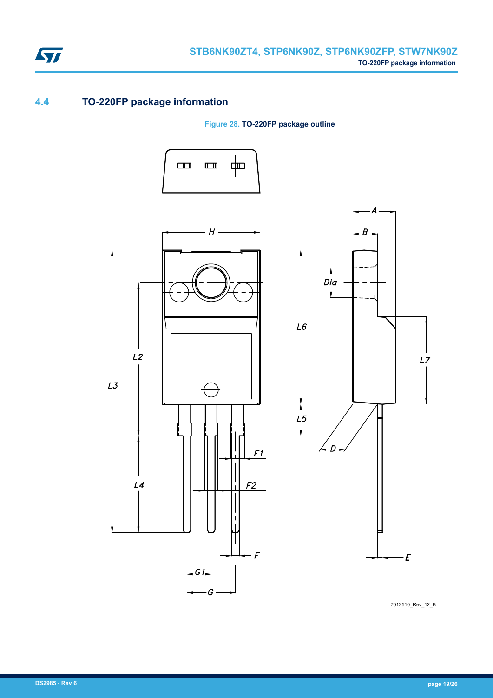

# **4.4 TO-220FP package information**

ST

**Figure 28. TO-220FP package outline**



7012510\_Rev\_12\_B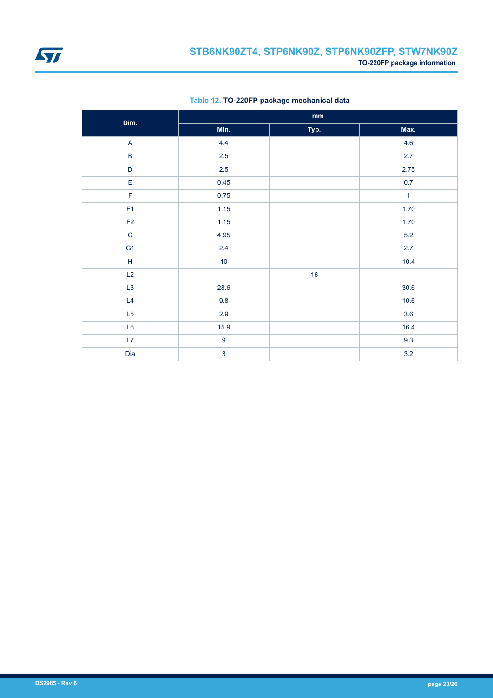<span id="page-19-0"></span>

| Dim.           | $\mathop{\bf mm}\nolimits$ |      |              |
|----------------|----------------------------|------|--------------|
|                | Min.                       | Typ. | Max.         |
| $\mathsf{A}$   | 4.4                        |      | 4.6          |
| $\sf B$        | $2.5\,$                    |      | 2.7          |
| $\mathsf D$    | $2.5\,$                    |      | 2.75         |
| E              | 0.45                       |      | 0.7          |
| F              | 0.75                       |      | $\mathbf{1}$ |
| F1             | 1.15                       |      | 1.70         |
| F2             | 1.15                       |      | 1.70         |
| ${\mathsf G}$  | 4.95                       |      | $5.2\,$      |
| G <sub>1</sub> | $2.4\,$                    |      | 2.7          |
| $\mathsf H$    | 10                         |      | 10.4         |
| L2             |                            | 16   |              |
| L3             | 28.6                       |      | $30.6$       |
| L4             | 9.8                        |      | 10.6         |
| L5             | 2.9                        |      | 3.6          |
| L6             | 15.9                       |      | 16.4         |
| L7             | $\boldsymbol{9}$           |      | 9.3          |
| Dia            | $\overline{3}$             |      | $3.2\,$      |

**Table 12. TO-220FP package mechanical data**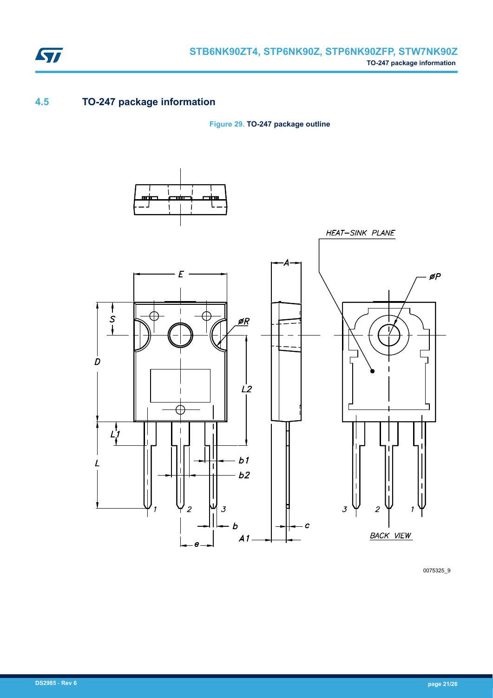

# **4.5 TO-247 package information**

**Figure 29. TO-247 package outline**



0075325\_9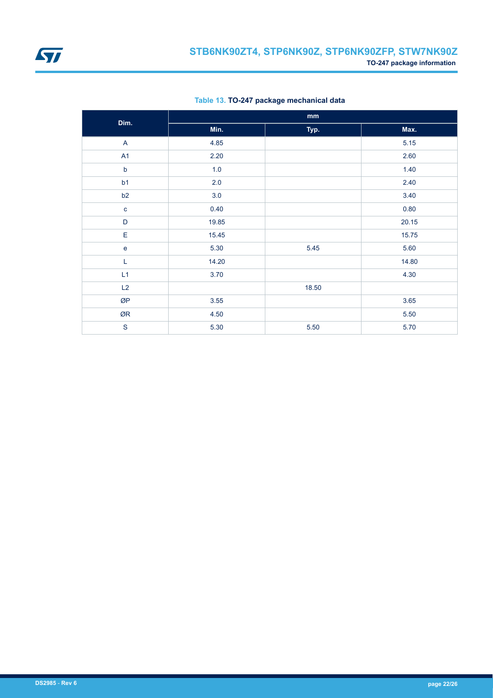

| Dim.         | mm    |       |       |
|--------------|-------|-------|-------|
|              | Min.  | Typ.  | Max.  |
| $\mathsf{A}$ | 4.85  |       | 5.15  |
| A1           | 2.20  |       | 2.60  |
| $\mathsf b$  | 1.0   |       | 1.40  |
| b1           | 2.0   |       | 2.40  |
| b2           | 3.0   |       | 3.40  |
| $\mathbf c$  | 0.40  |       | 0.80  |
| $\mathsf D$  | 19.85 |       | 20.15 |
| $\mathsf E$  | 15.45 |       | 15.75 |
| $\mathbf e$  | 5.30  | 5.45  | 5.60  |
| L            | 14.20 |       | 14.80 |
| L1           | 3.70  |       | 4.30  |
| L2           |       | 18.50 |       |
| ØP           | 3.55  |       | 3.65  |
| ØR           | 4.50  |       | 5.50  |
| $\mathbf S$  | 5.30  | 5.50  | 5.70  |

**Table 13. TO-247 package mechanical data**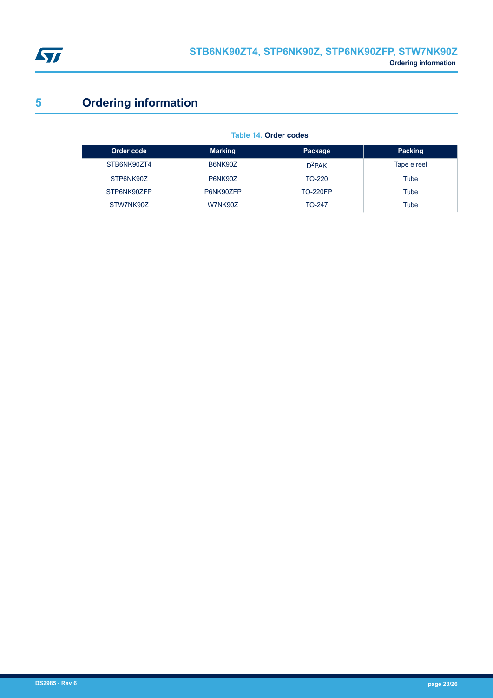<span id="page-22-0"></span>

# **5 Ordering information**

| Order code  | <b>Marking</b> | Package         | Packing     |
|-------------|----------------|-----------------|-------------|
| STB6NK90ZT4 | B6NK90Z        | $D^2$ PAK       | Tape e reel |
| STP6NK90Z   | P6NK90Z        | TO-220          | Tube        |
| STP6NK90ZFP | P6NK90ZFP      | <b>TO-220FP</b> | Tube        |
| STW7NK90Z   | W7NK90Z        | <b>TO-247</b>   | Tube        |

### **Table 14. Order codes**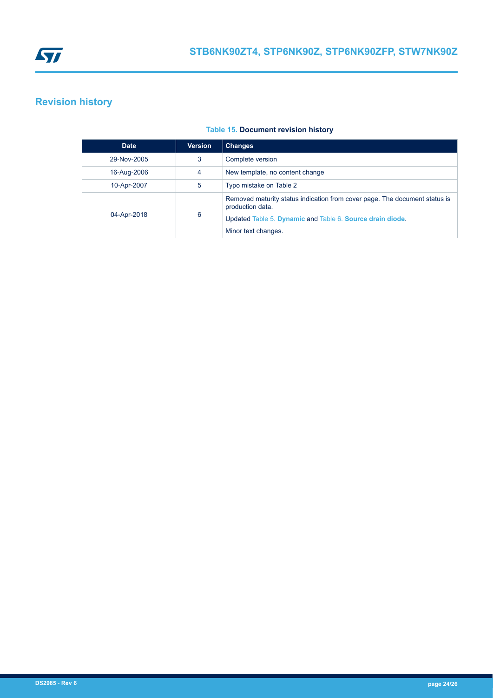<span id="page-23-0"></span>

# **Revision history**

### **Table 15. Document revision history**

| <b>Date</b> | <b>Version</b> | <b>Changes</b>                                                                                                                                                                     |
|-------------|----------------|------------------------------------------------------------------------------------------------------------------------------------------------------------------------------------|
| 29-Nov-2005 | 3              | Complete version                                                                                                                                                                   |
| 16-Aug-2006 | 4              | New template, no content change                                                                                                                                                    |
| 10-Apr-2007 | 5              | Typo mistake on Table 2                                                                                                                                                            |
| 04-Apr-2018 | 6              | Removed maturity status indication from cover page. The document status is<br>production data.<br>Updated Table 5. Dynamic and Table 6. Source drain diode.<br>Minor text changes. |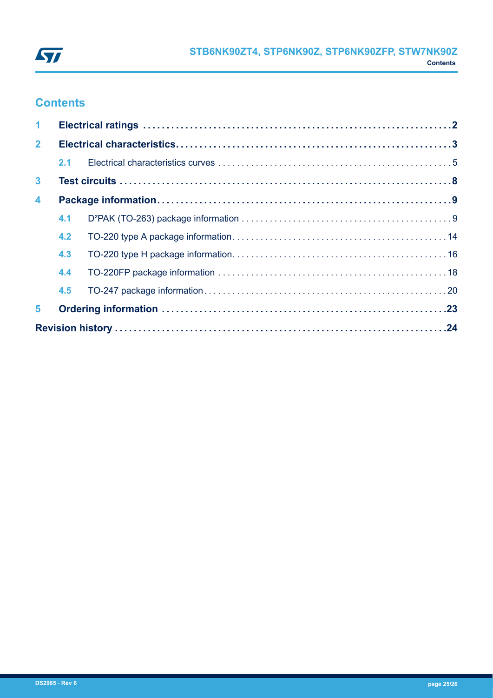

# **Contents**

| $\blacktriangleleft$    |     |  |  |
|-------------------------|-----|--|--|
| $\mathbf{2}$            |     |  |  |
|                         | 2.1 |  |  |
| $\mathbf{3}$            |     |  |  |
| $\overline{\mathbf{4}}$ |     |  |  |
|                         | 4.1 |  |  |
|                         | 4.2 |  |  |
|                         | 4.3 |  |  |
|                         | 4.4 |  |  |
|                         | 4.5 |  |  |
| 5                       |     |  |  |
|                         |     |  |  |